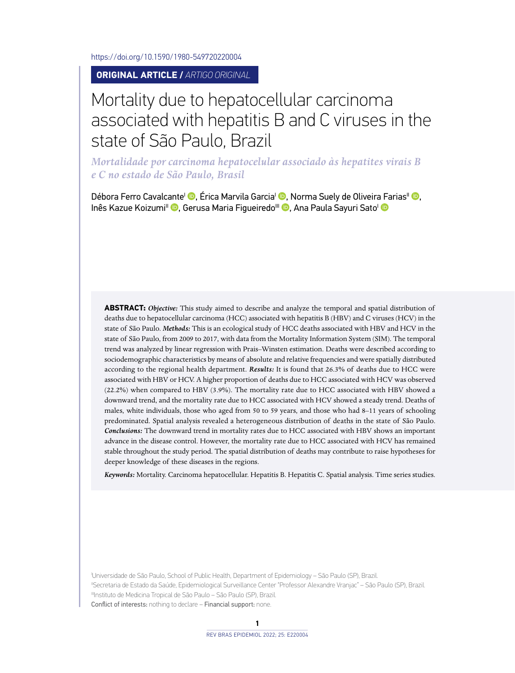<https://doi.org/10.1590/1980-549720220004>

**ORIGINAL ARTICLE /** *ARTIGO ORIGINAL*

# Mortality due to hepatocellular carcinoma associated with hepatitis B and C viruses in the state of São Paulo, Brazil

*Mortalidade por carcinoma hepatocelular associado às hepatites virais B e C no estado de São Paulo, Brasil*

Débora Ferro Cavalcante<sup>l</sup> <sup>(D</sup>[,](https://orcid.org/0000-0003-4348-8029) Érica Marvila Garcia<sup>l (D</sup>, Norma Suely de Oliveir[a Fa](https://orcid.org/0000-0001-8601-5884)rias<sup>II</sup> <sup>(D</sup>, Inês Kazue Koizumi<sup>II</sup> <sup>(D</sup>[,](https://orcid.org/0000-0001-9657-9675) Gerusa Maria Figueiredo<sup>III</sup> <sup>(D</sup>, Ana Paula Sayuri Sato<sup>I</sup> (D

**ABSTRACT:** *Objective:* This study aimed to describe and analyze the temporal and spatial distribution of deaths due to hepatocellular carcinoma (HCC) associated with hepatitis B (HBV) and C viruses (HCV) in the state of São Paulo. *Methods:* This is an ecological study of HCC deaths associated with HBV and HCV in the state of São Paulo, from 2009 to 2017, with data from the Mortality Information System (SIM). The temporal trend was analyzed by linear regression with Prais–Winsten estimation. Deaths were described according to sociodemographic characteristics by means of absolute and relative frequencies and were spatially distributed according to the regional health department. *Results:* It is found that 26.3% of deaths due to HCC were associated with HBV or HCV. A higher proportion of deaths due to HCC associated with HCV was observed (22.2%) when compared to HBV (3.9%). The mortality rate due to HCC associated with HBV showed a downward trend, and the mortality rate due to HCC associated with HCV showed a steady trend. Deaths of males, white individuals, those who aged from 50 to 59 years, and those who had 8–11 years of schooling predominated. Spatial analysis revealed a heterogeneous distribution of deaths in the state of São Paulo. *Conclusions:* The downward trend in mortality rates due to HCC associated with HBV shows an important advance in the disease control. However, the mortality rate due to HCC associated with HCV has remained stable throughout the study period. The spatial distribution of deaths may contribute to raise hypotheses for deeper knowledge of these diseases in the regions.

*Keywords:* Mortality. Carcinoma hepatocellular. Hepatitis B. Hepatitis C. Spatial analysis. Time series studies.

I Universidade de São Paulo, School of Public Health, Department of Epidemiology – São Paulo (SP), Brazil. IISecretaria de Estado da Saúde, Epidemiological Surveillance Center "Professor Alexandre Vranjac" – São Paulo (SP), Brazil. IIIInstituto de Medicina Tropical de São Paulo – São Paulo (SP), Brazil. Conflict of interests: nothing to declare – Financial support: none.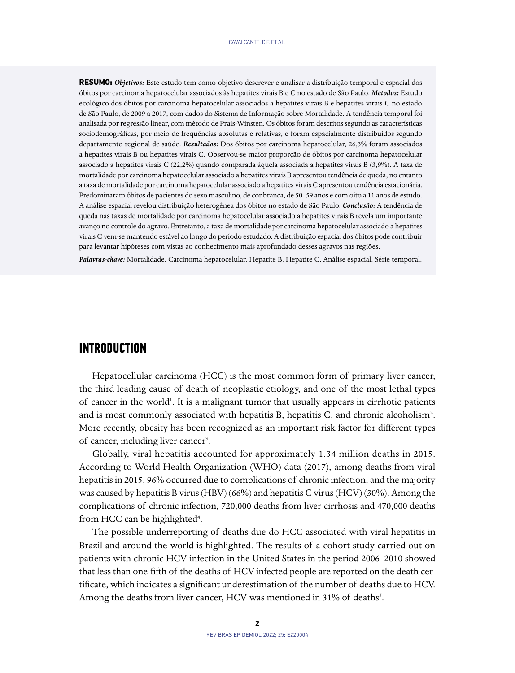**RESUMO:** *Objetivos:* Este estudo tem como objetivo descrever e analisar a distribuição temporal e espacial dos óbitos por carcinoma hepatocelular associados às hepatites virais B e C no estado de São Paulo. *Métodos:* Estudo ecológico dos óbitos por carcinoma hepatocelular associados a hepatites virais B e hepatites virais C no estado de São Paulo, de 2009 a 2017, com dados do Sistema de Informação sobre Mortalidade. A tendência temporal foi analisada por regressão linear, com método de Prais-Winsten. Os óbitos foram descritos segundo as características sociodemográficas, por meio de frequências absolutas e relativas, e foram espacialmente distribuídos segundo departamento regional de saúde. *Resultados:* Dos óbitos por carcinoma hepatocelular, 26,3% foram associados a hepatites virais B ou hepatites virais C. Observou-se maior proporção de óbitos por carcinoma hepatocelular associado a hepatites virais C (22,2%) quando comparada àquela associada a hepatites virais B (3,9%). A taxa de mortalidade por carcinoma hepatocelular associado a hepatites virais B apresentou tendência de queda, no entanto a taxa de mortalidade por carcinoma hepatocelular associado a hepatites virais C apresentou tendência estacionária. Predominaram óbitos de pacientes do sexo masculino, de cor branca, de 50–59 anos e com oito a 11 anos de estudo. A análise espacial revelou distribuição heterogênea dos óbitos no estado de São Paulo. *Conclusão:* A tendência de queda nas taxas de mortalidade por carcinoma hepatocelular associado a hepatites virais B revela um importante avanço no controle do agravo. Entretanto, a taxa de mortalidade por carcinoma hepatocelular associado a hepatites virais C vem-se mantendo estável ao longo do período estudado. A distribuição espacial dos óbitos pode contribuir para levantar hipóteses com vistas ao conhecimento mais aprofundado desses agravos nas regiões.

*Palavras-chave:* Mortalidade. Carcinoma hepatocelular. Hepatite B. Hepatite C. Análise espacial. Série temporal.

### **INTRODUCTION**

Hepatocellular carcinoma (HCC) is the most common form of primary liver cancer, the third leading cause of death of neoplastic etiology, and one of the most lethal types of cancer in the world<sup>1</sup>. It is a malignant tumor that usually appears in cirrhotic patients and is most commonly associated with hepatitis B, hepatitis C, and chronic alcoholism<sup>2</sup>. More recently, obesity has been recognized as an important risk factor for different types of cancer, including liver cancer<sup>3</sup>.

Globally, viral hepatitis accounted for approximately 1.34 million deaths in 2015. According to World Health Organization (WHO) data (2017), among deaths from viral hepatitis in 2015, 96% occurred due to complications of chronic infection, and the majority was caused by hepatitis B virus (HBV) (66%) and hepatitis C virus (HCV) (30%). Among the complications of chronic infection, 720,000 deaths from liver cirrhosis and 470,000 deaths from HCC can be highlighted<sup>4</sup>.

The possible underreporting of deaths due do HCC associated with viral hepatitis in Brazil and around the world is highlighted. The results of a cohort study carried out on patients with chronic HCV infection in the United States in the period 2006–2010 showed that less than one-fifth of the deaths of HCV-infected people are reported on the death certificate, which indicates a significant underestimation of the number of deaths due to HCV. Among the deaths from liver cancer, HCV was mentioned in 31% of deaths<sup>5</sup>.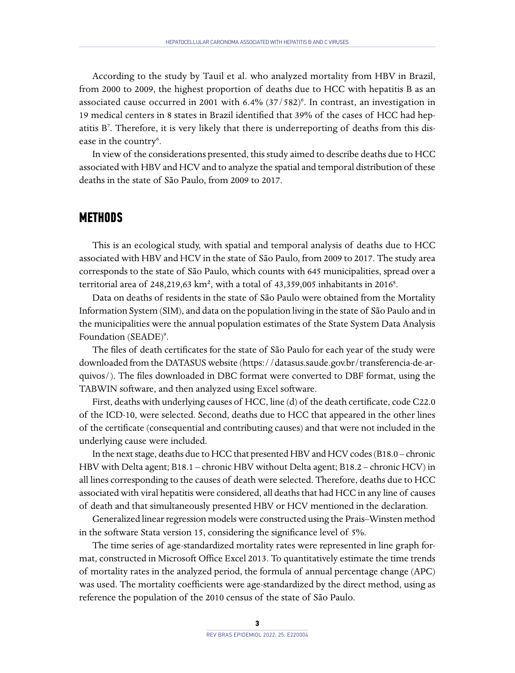According to the study by Tauil et al. who analyzed mortality from HBV in Brazil, from 2000 to 2009, the highest proportion of deaths due to HCC with hepatitis B as an associated cause occurred in 2001 with 6.4% (37/582)<sup>6</sup>. In contrast, an investigation in 19 medical centers in 8 states in Brazil identified that 39% of the cases of HCC had hepatitis B<sup>7</sup>. Therefore, it is very likely that there is underreporting of deaths from this disease in the country<sup>6</sup>.

In view of the considerations presented, this study aimed to describe deaths due to HCC associated with HBV and HCV and to analyze the spatial and temporal distribution of these deaths in the state of São Paulo, from 2009 to 2017.

#### **METHODS**

This is an ecological study, with spatial and temporal analysis of deaths due to HCC associated with HBV and HCV in the state of São Paulo, from 2009 to 2017. The study area corresponds to the state of São Paulo, which counts with 645 municipalities, spread over a territorial area of 248,219,63 km<sup>2</sup>, with a total of 43,359,005 inhabitants in 2016<sup>8</sup>.

Data on deaths of residents in the state of São Paulo were obtained from the Mortality Information System (SIM), and data on the population living in the state of São Paulo and in the municipalities were the annual population estimates of the State System Data Analysis Foundation (SEADE)<sup>9</sup>.

The files of death certificates for the state of São Paulo for each year of the study were downloaded from the DATASUS website ([https://datasus.saude.gov.br/transferencia-de-ar](https://datasus.saude.gov.br/transferencia-de-arquivos/)[quivos/](https://datasus.saude.gov.br/transferencia-de-arquivos/)). The files downloaded in DBC format were converted to DBF format, using the TABWIN software, and then analyzed using Excel software.

First, deaths with underlying causes of HCC, line (d) of the death certificate, code C22.0 of the ICD-10, were selected. Second, deaths due to HCC that appeared in the other lines of the certificate (consequential and contributing causes) and that were not included in the underlying cause were included.

In the next stage, deaths due to HCC that presented HBV and HCV codes (B18.0 – chronic HBV with Delta agent; B18.1 – chronic HBV without Delta agent; B18.2 – chronic HCV) in all lines corresponding to the causes of death were selected. Therefore, deaths due to HCC associated with viral hepatitis were considered, all deaths that had HCC in any line of causes of death and that simultaneously presented HBV or HCV mentioned in the declaration.

Generalized linear regression models were constructed using the Prais–Winsten method in the software Stata version 15, considering the significance level of 5%.

The time series of age-standardized mortality rates were represented in line graph format, constructed in Microsoft Office Excel 2013. To quantitatively estimate the time trends of mortality rates in the analyzed period, the formula of annual percentage change (APC) was used. The mortality coefficients were age-standardized by the direct method, using as reference the population of the 2010 census of the state of São Paulo.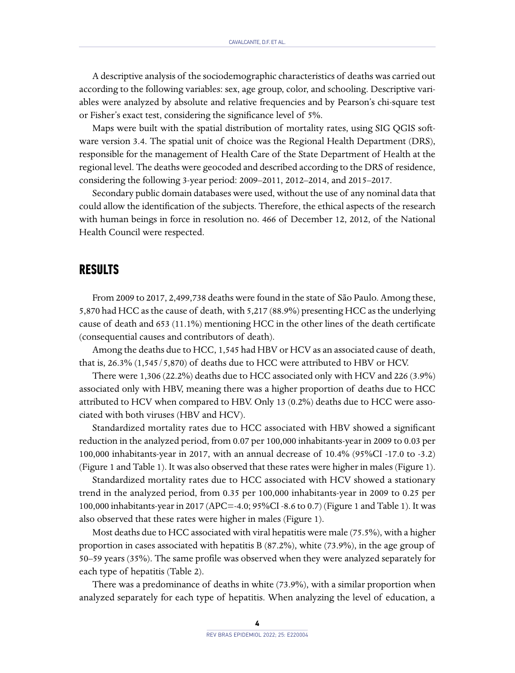A descriptive analysis of the sociodemographic characteristics of deaths was carried out according to the following variables: sex, age group, color, and schooling. Descriptive variables were analyzed by absolute and relative frequencies and by Pearson's chi-square test or Fisher's exact test, considering the significance level of 5%.

Maps were built with the spatial distribution of mortality rates, using SIG QGIS software version 3.4. The spatial unit of choice was the Regional Health Department (DRS), responsible for the management of Health Care of the State Department of Health at the regional level. The deaths were geocoded and described according to the DRS of residence, considering the following 3-year period: 2009–2011, 2012–2014, and 2015–2017.

Secondary public domain databases were used, without the use of any nominal data that could allow the identification of the subjects. Therefore, the ethical aspects of the research with human beings in force in resolution no. 466 of December 12, 2012, of the National Health Council were respected.

## **RESULTS**

From 2009 to 2017, 2,499,738 deaths were found in the state of São Paulo. Among these, 5,870 had HCC as the cause of death, with 5,217 (88.9%) presenting HCC as the underlying cause of death and 653 (11.1%) mentioning HCC in the other lines of the death certificate (consequential causes and contributors of death).

Among the deaths due to HCC, 1,545 had HBV or HCV as an associated cause of death, that is, 26.3% (1,545/5,870) of deaths due to HCC were attributed to HBV or HCV.

There were 1,306 (22.2%) deaths due to HCC associated only with HCV and 226 (3.9%) associated only with HBV, meaning there was a higher proportion of deaths due to HCC attributed to HCV when compared to HBV. Only 13 (0.2%) deaths due to HCC were associated with both viruses (HBV and HCV).

Standardized mortality rates due to HCC associated with HBV showed a significant reduction in the analyzed period, from 0.07 per 100,000 inhabitants-year in 2009 to 0.03 per 100,000 inhabitants-year in 2017, with an annual decrease of 10.4% (95%CI -17.0 to -3.2) (Figure 1 and Table 1). It was also observed that these rates were higher in males (Figure 1).

Standardized mortality rates due to HCC associated with HCV showed a stationary trend in the analyzed period, from 0.35 per 100,000 inhabitants-year in 2009 to 0.25 per 100,000 inhabitants-year in 2017 (APC=-4.0; 95%CI -8.6 to 0.7) (Figure 1 and Table 1). It was also observed that these rates were higher in males (Figure 1).

Most deaths due to HCC associated with viral hepatitis were male (75.5%), with a higher proportion in cases associated with hepatitis B (87.2%), white (73.9%), in the age group of 50–59 years (35%). The same profile was observed when they were analyzed separately for each type of hepatitis (Table 2).

There was a predominance of deaths in white (73.9%), with a similar proportion when analyzed separately for each type of hepatitis. When analyzing the level of education, a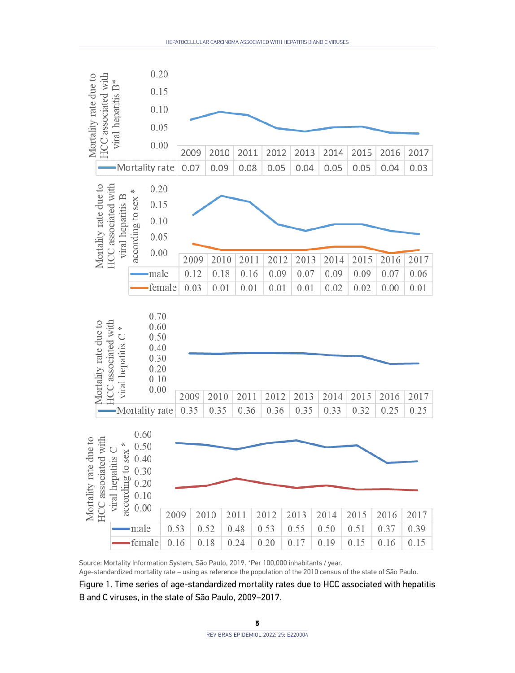

Source: Mortality Information System, São Paulo, 2019. \*Per 100,000 inhabitants / year.

Age-standardized mortality rate – using as reference the population of the 2010 census of the state of São Paulo.

Figure 1. Time series of age-standardized mortality rates due to HCC associated with hepatitis B and C viruses, in the state of São Paulo, 2009–2017.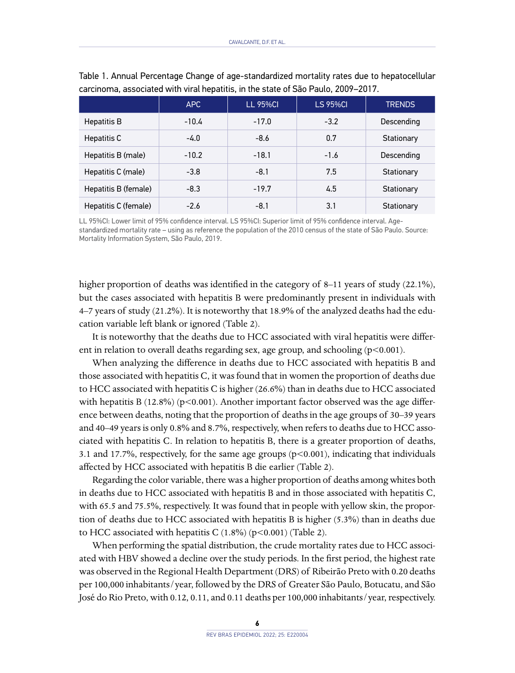|                      | APC     | <b>LL 95%CI</b> | <b>LS 95%CI</b> | <b>TRENDS</b> |  |
|----------------------|---------|-----------------|-----------------|---------------|--|
| Hepatitis B          | $-10.4$ | $-17.0$         | $-3.2$          | Descending    |  |
| Hepatitis C          | -4.0    | $-8.6$          | 0.7             | Stationary    |  |
| Hepatitis B (male)   | $-10.2$ | $-18.1$         | $-1.6$          | Descending    |  |
| Hepatitis C (male)   | $-3.8$  | $-8.1$          | 7.5             | Stationary    |  |
| Hepatitis B (female) | $-8.3$  | $-19.7$         | 4.5             | Stationary    |  |
| Hepatitis C (female) | $-2.6$  | $-8.1$          | 3.1             | Stationary    |  |

Table 1. Annual Percentage Change of age-standardized mortality rates due to hepatocellular carcinoma, associated with viral hepatitis, in the state of São Paulo, 2009–2017.

LL 95%CI: Lower limit of 95% confidence interval. LS 95%CI: Superior limit of 95% confidence interval. Agestandardized mortality rate – using as reference the population of the 2010 census of the state of São Paulo. Source: Mortality Information System, São Paulo, 2019.

higher proportion of deaths was identified in the category of 8–11 years of study (22.1%), but the cases associated with hepatitis B were predominantly present in individuals with 4–7 years of study (21.2%). It is noteworthy that 18.9% of the analyzed deaths had the education variable left blank or ignored (Table 2).

It is noteworthy that the deaths due to HCC associated with viral hepatitis were different in relation to overall deaths regarding sex, age group, and schooling (p<0.001).

When analyzing the difference in deaths due to HCC associated with hepatitis B and those associated with hepatitis C, it was found that in women the proportion of deaths due to HCC associated with hepatitis C is higher (26.6%) than in deaths due to HCC associated with hepatitis B  $(12.8\%)$  (p<0.001). Another important factor observed was the age difference between deaths, noting that the proportion of deaths in the age groups of 30–39 years and 40–49 years is only 0.8% and 8.7%, respectively, when refers to deaths due to HCC associated with hepatitis C. In relation to hepatitis B, there is a greater proportion of deaths, 3.1 and 17.7%, respectively, for the same age groups (p<0.001), indicating that individuals affected by HCC associated with hepatitis B die earlier (Table 2).

Regarding the color variable, there was a higher proportion of deaths among whites both in deaths due to HCC associated with hepatitis B and in those associated with hepatitis C, with 65.5 and 75.5%, respectively. It was found that in people with yellow skin, the proportion of deaths due to HCC associated with hepatitis B is higher (5.3%) than in deaths due to HCC associated with hepatitis C  $(1.8\%)$  (p<0.001) (Table 2).

When performing the spatial distribution, the crude mortality rates due to HCC associated with HBV showed a decline over the study periods. In the first period, the highest rate was observed in the Regional Health Department (DRS) of Ribeirão Preto with 0.20 deaths per 100,000 inhabitants/year, followed by the DRS of Greater São Paulo, Botucatu, and São José do Rio Preto, with 0.12, 0.11, and 0.11 deaths per 100,000 inhabitants/year, respectively.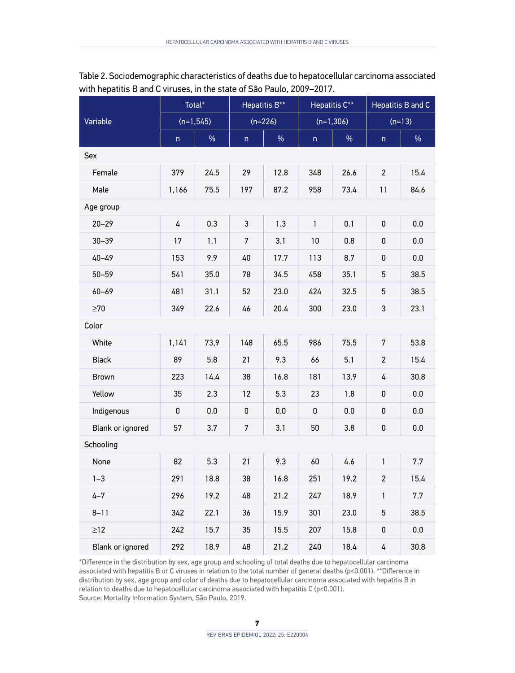| Variable         | Total*       |      | Hepatitis B**           |      | Hepatitis C** |      | Hepatitis B and C |         |  |  |  |
|------------------|--------------|------|-------------------------|------|---------------|------|-------------------|---------|--|--|--|
|                  | $(n=1,545)$  |      | $(n=226)$               |      | $(n=1,306)$   |      | $(n=13)$          |         |  |  |  |
|                  | $\mathsf{n}$ | $\%$ | $\overline{\mathsf{n}}$ | $\%$ | $\mathsf{n}$  | $\%$ | n                 | $\%$    |  |  |  |
| Sex              |              |      |                         |      |               |      |                   |         |  |  |  |
| Female           | 379          | 24.5 | 29                      | 12.8 | 348           | 26.6 | $\overline{c}$    | 15.4    |  |  |  |
| Male             | 1,166        | 75.5 | 197                     | 87.2 | 958           | 73.4 | 11                | 84.6    |  |  |  |
| Age group        |              |      |                         |      |               |      |                   |         |  |  |  |
| $20 - 29$        | 4            | 0.3  | 3                       | 1.3  | $\mathbf{1}$  | 0.1  | 0                 | 0.0     |  |  |  |
| $30 - 39$        | 17           | 1.1  | $\overline{7}$          | 3.1  | 10            | 0.8  | $\pmb{0}$         | 0.0     |  |  |  |
| $40 - 49$        | 153          | 9.9  | 40                      | 17.7 | 113           | 8.7  | 0                 | $0.0\,$ |  |  |  |
| $50 - 59$        | 541          | 35.0 | 78                      | 34.5 | 458           | 35.1 | 5                 | 38.5    |  |  |  |
| $60 - 69$        | 481          | 31.1 | 52                      | 23.0 | 424           | 32.5 | 5                 | 38.5    |  |  |  |
| $\geq 70$        | 349          | 22.6 | 46                      | 20.4 | 300           | 23.0 | 3                 | 23.1    |  |  |  |
| Color            |              |      |                         |      |               |      |                   |         |  |  |  |
| White            | 1,141        | 73,9 | 148                     | 65.5 | 986           | 75.5 | 7                 | 53.8    |  |  |  |
| <b>Black</b>     | 89           | 5.8  | 21                      | 9.3  | 66            | 5.1  | 2                 | 15.4    |  |  |  |
| Brown            | 223          | 14.4 | 38                      | 16.8 | 181           | 13.9 | 4                 | 30.8    |  |  |  |
| Yellow           | 35           | 2.3  | 12                      | 5.3  | 23            | 1.8  | $\pmb{0}$         | 0.0     |  |  |  |
| Indigenous       | 0            | 0.0  | 0                       | 0.0  | 0             | 0.0  | 0                 | 0.0     |  |  |  |
| Blank or ignored | 57           | 3.7  | $\overline{7}$          | 3.1  | 50            | 3.8  | $\pmb{0}$         | 0.0     |  |  |  |
| Schooling        |              |      |                         |      |               |      |                   |         |  |  |  |
| None             | 82           | 5.3  | 21                      | 9.3  | 60            | 4.6  | $\mathbf{1}$      | 7.7     |  |  |  |
| $1 - 3$          | 291          | 18.8 | 38                      | 16.8 | 251           | 19.2 | $\mathbf{2}$      | 15.4    |  |  |  |
| $4 - 7$          | 296          | 19.2 | 48                      | 21.2 | 247           | 18.9 | 1                 | 7.7     |  |  |  |
| $8 - 11$         | 342          | 22.1 | 36                      | 15.9 | 301           | 23.0 | 5                 | 38.5    |  |  |  |
| $\geq 12$        | 242          | 15.7 | 35                      | 15.5 | 207           | 15.8 | $\pmb{0}$         | 0.0     |  |  |  |
| Blank or ignored | 292          | 18.9 | 48                      | 21.2 | 240           | 18.4 | 4                 | 30.8    |  |  |  |

Table 2. Sociodemographic characteristics of deaths due to hepatocellular carcinoma associated with hepatitis B and C viruses, in the state of São Paulo, 2009–2017.

\*Difference in the distribution by sex, age group and schooling of total deaths due to hepatocellular carcinoma associated with hepatitis B or C viruses in relation to the total number of general deaths (p<0.001). \*\*Difference in distribution by sex, age group and color of deaths due to hepatocellular carcinoma associated with hepatitis B in relation to deaths due to hepatocellular carcinoma associated with hepatitis C (p<0.001). Source: Mortality Information System, São Paulo, 2019.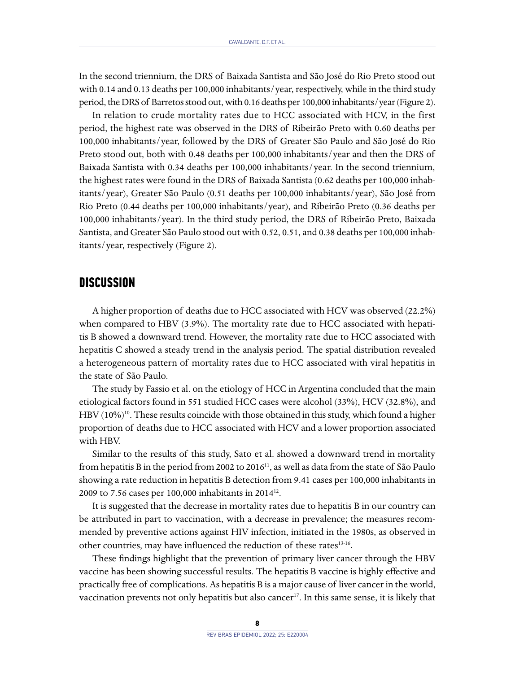In the second triennium, the DRS of Baixada Santista and São José do Rio Preto stood out with 0.14 and 0.13 deaths per 100,000 inhabitants/year, respectively, while in the third study period, the DRS of Barretos stood out, with 0.16 deaths per 100,000 inhabitants/year (Figure 2).

In relation to crude mortality rates due to HCC associated with HCV, in the first period, the highest rate was observed in the DRS of Ribeirão Preto with 0.60 deaths per 100,000 inhabitants/year, followed by the DRS of Greater São Paulo and São José do Rio Preto stood out, both with 0.48 deaths per 100,000 inhabitants/year and then the DRS of Baixada Santista with 0.34 deaths per 100,000 inhabitants/year. In the second triennium, the highest rates were found in the DRS of Baixada Santista (0.62 deaths per 100,000 inhabitants/year), Greater São Paulo (0.51 deaths per 100,000 inhabitants/year), São José from Rio Preto (0.44 deaths per 100,000 inhabitants/year), and Ribeirão Preto (0.36 deaths per 100,000 inhabitants/year). In the third study period, the DRS of Ribeirão Preto, Baixada Santista, and Greater São Paulo stood out with 0.52, 0.51, and 0.38 deaths per 100,000 inhabitants/year, respectively (Figure 2).

#### **DISCUSSION**

A higher proportion of deaths due to HCC associated with HCV was observed (22.2%) when compared to HBV (3.9%). The mortality rate due to HCC associated with hepatitis B showed a downward trend. However, the mortality rate due to HCC associated with hepatitis C showed a steady trend in the analysis period. The spatial distribution revealed a heterogeneous pattern of mortality rates due to HCC associated with viral hepatitis in the state of São Paulo.

The study by Fassio et al. on the etiology of HCC in Argentina concluded that the main etiological factors found in 551 studied HCC cases were alcohol (33%), HCV (32.8%), and HBV  $(10\%)$ <sup>10</sup>. These results coincide with those obtained in this study, which found a higher proportion of deaths due to HCC associated with HCV and a lower proportion associated with HBV.

Similar to the results of this study, Sato et al. showed a downward trend in mortality from hepatitis B in the period from 2002 to 2016<sup>11</sup>, as well as data from the state of São Paulo showing a rate reduction in hepatitis B detection from 9.41 cases per 100,000 inhabitants in 2009 to 7.56 cases per 100,000 inhabitants in 201412.

It is suggested that the decrease in mortality rates due to hepatitis B in our country can be attributed in part to vaccination, with a decrease in prevalence; the measures recommended by preventive actions against HIV infection, initiated in the 1980s, as observed in other countries, may have influenced the reduction of these rates<sup>13-16</sup>.

These findings highlight that the prevention of primary liver cancer through the HBV vaccine has been showing successful results. The hepatitis B vaccine is highly effective and practically free of complications. As hepatitis B is a major cause of liver cancer in the world, vaccination prevents not only hepatitis but also cancer<sup>17</sup>. In this same sense, it is likely that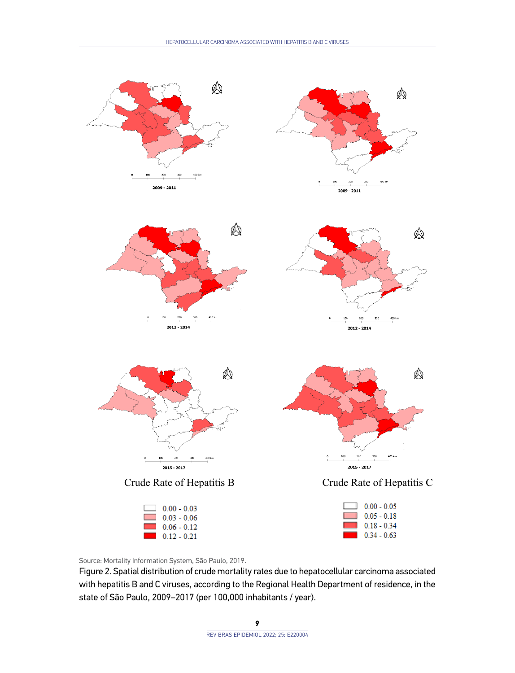

Source: Mortality Information System, São Paulo, 2019.

Figure 2. Spatial distribution of crude mortality rates due to hepatocellular carcinoma associated with hepatitis B and C viruses, according to the Regional Health Department of residence, in the state of São Paulo, 2009–2017 (per 100,000 inhabitants / year).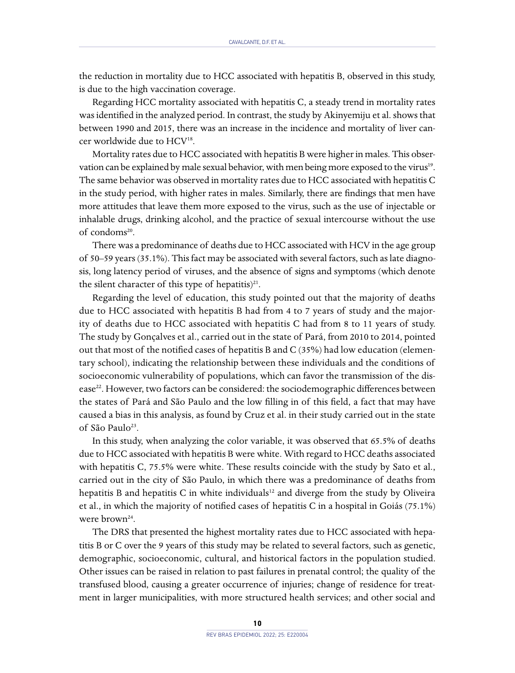the reduction in mortality due to HCC associated with hepatitis B, observed in this study, is due to the high vaccination coverage.

Regarding HCC mortality associated with hepatitis C, a steady trend in mortality rates was identified in the analyzed period. In contrast, the study by Akinyemiju et al. shows that between 1990 and 2015, there was an increase in the incidence and mortality of liver cancer worldwide due to HCV<sup>18</sup>.

Mortality rates due to HCC associated with hepatitis B were higher in males. This observation can be explained by male sexual behavior, with men being more exposed to the virus<sup>19</sup>. The same behavior was observed in mortality rates due to HCC associated with hepatitis C in the study period, with higher rates in males. Similarly, there are findings that men have more attitudes that leave them more exposed to the virus, such as the use of injectable or inhalable drugs, drinking alcohol, and the practice of sexual intercourse without the use of condoms<sup>20</sup>.

There was a predominance of deaths due to HCC associated with HCV in the age group of 50–59 years (35.1%). This fact may be associated with several factors, such as late diagnosis, long latency period of viruses, and the absence of signs and symptoms (which denote the silent character of this type of hepatitis)<sup>21</sup>.

Regarding the level of education, this study pointed out that the majority of deaths due to HCC associated with hepatitis B had from 4 to 7 years of study and the majority of deaths due to HCC associated with hepatitis C had from 8 to 11 years of study. The study by Gonçalves et al., carried out in the state of Pará, from 2010 to 2014, pointed out that most of the notified cases of hepatitis B and C (35%) had low education (elementary school), indicating the relationship between these individuals and the conditions of socioeconomic vulnerability of populations, which can favor the transmission of the disease<sup>22</sup>. However, two factors can be considered: the sociodemographic differences between the states of Pará and São Paulo and the low filling in of this field, a fact that may have caused a bias in this analysis, as found by Cruz et al. in their study carried out in the state of São Paulo<sup>23</sup>.

In this study, when analyzing the color variable, it was observed that 65.5% of deaths due to HCC associated with hepatitis B were white. With regard to HCC deaths associated with hepatitis C, 75.5% were white. These results coincide with the study by Sato et al., carried out in the city of São Paulo, in which there was a predominance of deaths from hepatitis B and hepatitis C in white individuals $12$  and diverge from the study by Oliveira et al., in which the majority of notified cases of hepatitis C in a hospital in Goiás (75.1%) were brown<sup>24</sup>.

The DRS that presented the highest mortality rates due to HCC associated with hepatitis B or C over the 9 years of this study may be related to several factors, such as genetic, demographic, socioeconomic, cultural, and historical factors in the population studied. Other issues can be raised in relation to past failures in prenatal control; the quality of the transfused blood, causing a greater occurrence of injuries; change of residence for treatment in larger municipalities, with more structured health services; and other social and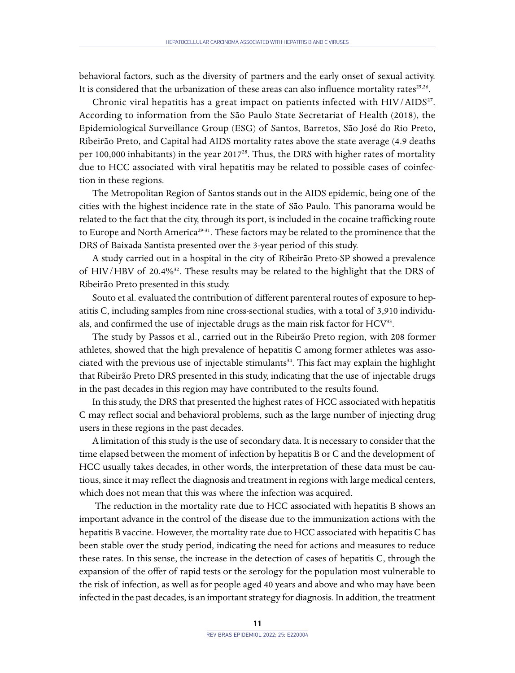behavioral factors, such as the diversity of partners and the early onset of sexual activity. It is considered that the urbanization of these areas can also influence mortality rates $25.26$ .

Chronic viral hepatitis has a great impact on patients infected with HIV/AIDS<sup>27</sup>. According to information from the São Paulo State Secretariat of Health (2018), the Epidemiological Surveillance Group (ESG) of Santos, Barretos, São José do Rio Preto, Ribeirão Preto, and Capital had AIDS mortality rates above the state average (4.9 deaths per 100,000 inhabitants) in the year 2017<sup>28</sup>. Thus, the DRS with higher rates of mortality due to HCC associated with viral hepatitis may be related to possible cases of coinfection in these regions.

The Metropolitan Region of Santos stands out in the AIDS epidemic, being one of the cities with the highest incidence rate in the state of São Paulo. This panorama would be related to the fact that the city, through its port, is included in the cocaine trafficking route to Europe and North America<sup>29-31</sup>. These factors may be related to the prominence that the DRS of Baixada Santista presented over the 3-year period of this study.

A study carried out in a hospital in the city of Ribeirão Preto-SP showed a prevalence of HIV/HBV of 20.4%32. These results may be related to the highlight that the DRS of Ribeirão Preto presented in this study.

Souto et al. evaluated the contribution of different parenteral routes of exposure to hepatitis C, including samples from nine cross-sectional studies, with a total of 3,910 individuals, and confirmed the use of injectable drugs as the main risk factor for HCV<sup>33</sup>.

The study by Passos et al., carried out in the Ribeirão Preto region, with 208 former athletes, showed that the high prevalence of hepatitis C among former athletes was associated with the previous use of injectable stimulants $34$ . This fact may explain the highlight that Ribeirão Preto DRS presented in this study, indicating that the use of injectable drugs in the past decades in this region may have contributed to the results found.

In this study, the DRS that presented the highest rates of HCC associated with hepatitis C may reflect social and behavioral problems, such as the large number of injecting drug users in these regions in the past decades.

A limitation of this study is the use of secondary data. It is necessary to consider that the time elapsed between the moment of infection by hepatitis B or C and the development of HCC usually takes decades, in other words, the interpretation of these data must be cautious, since it may reflect the diagnosis and treatment in regions with large medical centers, which does not mean that this was where the infection was acquired.

 The reduction in the mortality rate due to HCC associated with hepatitis B shows an important advance in the control of the disease due to the immunization actions with the hepatitis B vaccine. However, the mortality rate due to HCC associated with hepatitis C has been stable over the study period, indicating the need for actions and measures to reduce these rates. In this sense, the increase in the detection of cases of hepatitis C, through the expansion of the offer of rapid tests or the serology for the population most vulnerable to the risk of infection, as well as for people aged 40 years and above and who may have been infected in the past decades, is an important strategy for diagnosis. In addition, the treatment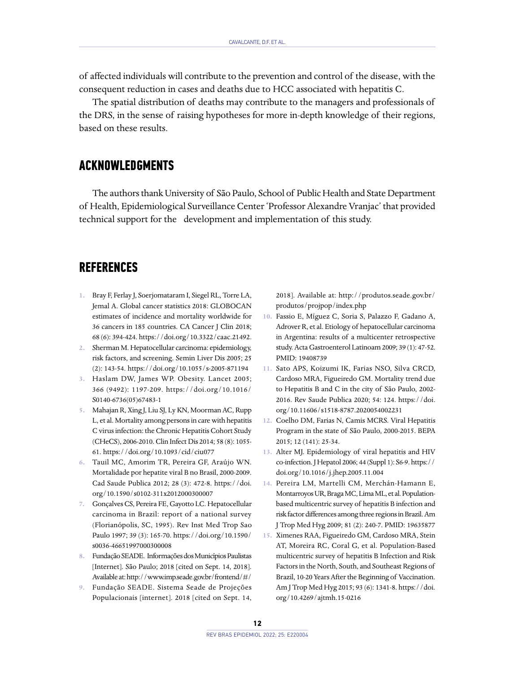of affected individuals will contribute to the prevention and control of the disease, with the consequent reduction in cases and deaths due to HCC associated with hepatitis C.

The spatial distribution of deaths may contribute to the managers and professionals of the DRS, in the sense of raising hypotheses for more in-depth knowledge of their regions, based on these results.

# **ACKNOWLEDGMENTS**

The authors thank University of São Paulo, School of Public Health and State Department of Health, Epidemiological Surveillance Center 'Professor Alexandre Vranjac' that provided technical support for the development and implementation of this study.

## **REFERENCES**

- **1.** Bray F, Ferlay J, Soerjomataram I, Siegel RL, Torre LA, Jemal A. Global cancer statistics 2018: GLOBOCAN estimates of incidence and mortality worldwide for 36 cancers in 185 countries. CA Cancer J Clin 2018; 68 (6): 394-424.<https://doi.org/10.3322/caac.21492>.
- **2.** Sherman M. Hepatocellular carcinoma: epidemiology, risk factors, and screening. Semin Liver Dis 2005; 25 (2): 143-54. [https://doi.org/10.1055/s-2005-871194](https://doi﻿.org/10.1055/s-2005-871194)
- **3.** Haslam DW, James WP. Obesity. Lancet 2005; 366 (9492): 1197-209. [https://doi.org/10.1016/](https://doi.org/10.1016/S0140-6736(05)67483-1) [S0140-6736\(05\)67483-1](https://doi.org/10.1016/S0140-6736(05)67483-1)
- **5.** Mahajan R, Xing J, Liu SJ, Ly KN, Moorman AC, Rupp L, et al. Mortality among persons in care with hepatitis C virus infection: the Chronic Hepatitis Cohort Study (CHeCS), 2006-2010. Clin Infect Dis 2014; 58 (8): 1055- 61. <https://doi.org/10.1093/cid/ciu077>
- **6.** Tauil MC, Amorim TR, Pereira GF, Araújo WN. Mortalidade por hepatite viral B no Brasil, 2000-2009. Cad Saude Publica 2012; 28 (3): 472-8. [https://doi.](https://doi.org/10.1590/s0102-311x2012000300007) [org/10.1590/s0102-311x2012000300007](https://doi.org/10.1590/s0102-311x2012000300007)
- **7.** Gonçalves CS, Pereira FE, Gayotto LC. Hepatocellular carcinoma in Brazil: report of a national survey (Florianópolis, SC, 1995). Rev Inst Med Trop Sao Paulo 1997; 39 (3): 165-70. [https://doi.org/10.1590/](https://doi.org/10.1590/s0036-46651997000300008) [s0036-46651997000300008](https://doi.org/10.1590/s0036-46651997000300008)
- **8.** Fundação SEADE. Informações dos Municípios Paulistas [Internet]. São Paulo; 2018 [cited on Sept. 14, 2018]. Available at:<http://www.imp.seade.gov.br/frontend/#/>
- **9.** Fundação SEADE. Sistema Seade de Projeções Populacionais [internet]. 2018 [cited on Sept. 14,

2018]. Available at: [http://produtos.seade.gov.br/](http://produtos.seade.gov.br/produtos/projpop/index.php) [produtos/projpop/index.php](http://produtos.seade.gov.br/produtos/projpop/index.php)

- **10.** Fassio E, Míguez C, Soria S, Palazzo F, Gadano A, Adrover R, et al. Etiology of hepatocellular carcinoma in Argentina: results of a multicenter retrospective study. Acta Gastroenterol Latinoam 2009; 39 (1): 47-52. PMID: 19408739
- **11.** Sato APS, Koizumi IK, Farias NSO, Silva CRCD, Cardoso MRA, Figueiredo GM. Mortality trend due to Hepatitis B and C in the city of São Paulo, 2002- 2016. Rev Saude Publica 2020; 54: 124. [https://doi.](https://doi.org/10.11606/s1518-8787.2020054002231) [org/10.11606/s1518-8787.2020054002231](https://doi.org/10.11606/s1518-8787.2020054002231)
- **12.** Coelho DM, Farias N, Camis MCRS. Viral Hepatitis Program in the state of São Paulo, 2000-2015. BEPA 2015; 12 (141): 25-34.
- **13.** Alter MJ. Epidemiology of viral hepatitis and HIV co-infection. J Hepatol 2006; 44 (Suppl 1): S6-9. [https://](https://doi.org/10.1016/j.jhep.2005.11.004) [doi.org/10.1016/j.jhep.2005.11.004](https://doi.org/10.1016/j.jhep.2005.11.004)
- **14.** Pereira LM, Martelli CM, Merchán-Hamann E, Montarroyos UR, Braga MC, Lima ML, et al. Populationbased multicentric survey of hepatitis B infection and risk factor differences among three regions in Brazil. Am J Trop Med Hyg 2009; 81 (2): 240-7. PMID: 19635877
- **15.** Ximenes RAA, Figueiredo GM, Cardoso MRA, Stein AT, Moreira RC, Coral G, et al. Population-Based multicentric survey of hepatitis B Infection and Risk Factors in the North, South, and Southeast Regions of Brazil, 10-20 Years After the Beginning of Vaccination. Am J Trop Med Hyg 2015; 93 (6): 1341-8. [https://doi.](https://doi.org/10.4269/ajtmh.15-0216) [org/10.4269/ajtmh.15-0216](https://doi.org/10.4269/ajtmh.15-0216)